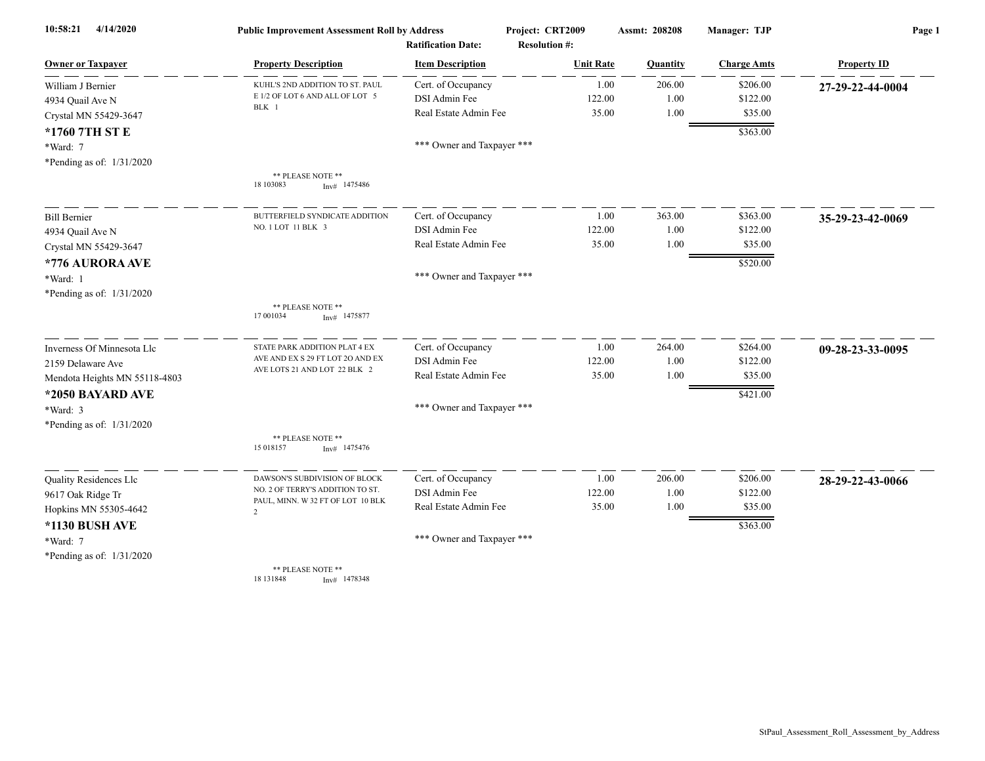| 4/14/2020<br>10:58:21         | <b>Public Improvement Assessment Roll by Address</b><br><b>Ratification Date:</b> |                            | Project: CRT2009     | <b>Assmt: 208208</b> | Manager: TJP       | Page 1             |
|-------------------------------|-----------------------------------------------------------------------------------|----------------------------|----------------------|----------------------|--------------------|--------------------|
|                               |                                                                                   |                            | <b>Resolution #:</b> |                      |                    |                    |
| <b>Owner or Taxpayer</b>      | <b>Property Description</b>                                                       | <b>Item Description</b>    | <b>Unit Rate</b>     | Quantity             | <b>Charge Amts</b> | <b>Property ID</b> |
| William J Bernier             | KUHL'S 2ND ADDITION TO ST. PAUL                                                   | Cert. of Occupancy         | 1.00                 | 206.00               | \$206.00           | 27-29-22-44-0004   |
| 4934 Quail Ave N              | E 1/2 OF LOT 6 AND ALL OF LOT 5<br>BLK 1                                          | DSI Admin Fee              | 122.00               | 1.00                 | \$122.00           |                    |
| Crystal MN 55429-3647         |                                                                                   | Real Estate Admin Fee      | 35.00                | 1.00                 | \$35.00            |                    |
| *1760 7TH ST E                |                                                                                   |                            |                      |                      | \$363.00           |                    |
| *Ward: 7                      |                                                                                   | *** Owner and Taxpayer *** |                      |                      |                    |                    |
| *Pending as of: 1/31/2020     |                                                                                   |                            |                      |                      |                    |                    |
|                               | ** PLEASE NOTE **<br>18 10 30 83<br>$Inv#$ 1475486                                |                            |                      |                      |                    |                    |
| <b>Bill Bernier</b>           | BUTTERFIELD SYNDICATE ADDITION                                                    | Cert. of Occupancy         | 1.00                 | 363.00               | \$363.00           | 35-29-23-42-0069   |
| 4934 Quail Ave N              | NO. 1 LOT 11 BLK 3                                                                | DSI Admin Fee              | 122.00               | 1.00                 | \$122.00           |                    |
| Crystal MN 55429-3647         |                                                                                   | Real Estate Admin Fee      | 35.00                | 1.00                 | \$35.00            |                    |
| *776 AURORA AVE               |                                                                                   |                            |                      |                      | \$520.00           |                    |
| *Ward: 1                      |                                                                                   | *** Owner and Taxpayer *** |                      |                      |                    |                    |
| *Pending as of: 1/31/2020     |                                                                                   |                            |                      |                      |                    |                    |
|                               | ** PLEASE NOTE **<br>17 001034<br>$Inv#$ 1475877                                  |                            |                      |                      |                    |                    |
| Inverness Of Minnesota Llc    | STATE PARK ADDITION PLAT 4 EX                                                     | Cert. of Occupancy         | 1.00                 | 264.00               | \$264.00           | 09-28-23-33-0095   |
| 2159 Delaware Ave             | AVE AND EX S 29 FT LOT 2O AND EX                                                  | DSI Admin Fee              | 122.00               | 1.00                 | \$122.00           |                    |
| Mendota Heights MN 55118-4803 | AVE LOTS 21 AND LOT 22 BLK 2                                                      | Real Estate Admin Fee      | 35.00                | 1.00                 | \$35.00            |                    |
| *2050 BAYARD AVE              |                                                                                   |                            |                      |                      | \$421.00           |                    |
| *Ward: 3                      |                                                                                   | *** Owner and Taxpayer *** |                      |                      |                    |                    |
| *Pending as of: 1/31/2020     |                                                                                   |                            |                      |                      |                    |                    |
|                               | ** PLEASE NOTE **<br>15 018157<br>$Inv#$ 1475476                                  |                            |                      |                      |                    |                    |
| Quality Residences Llc        | DAWSON'S SUBDIVISION OF BLOCK                                                     | Cert. of Occupancy         | 1.00                 | 206.00               | \$206.00           | 28-29-22-43-0066   |
| 9617 Oak Ridge Tr             | NO. 2 OF TERRY'S ADDITION TO ST.                                                  | DSI Admin Fee              | 122.00               | 1.00                 | \$122.00           |                    |
| Hopkins MN 55305-4642         | PAUL, MINN. W 32 FT OF LOT 10 BLK<br>$\overline{2}$                               | Real Estate Admin Fee      | 35.00                | 1.00                 | \$35.00            |                    |
| *1130 BUSH AVE                |                                                                                   |                            |                      |                      | \$363.00           |                    |
| *Ward: 7                      |                                                                                   | *** Owner and Taxpayer *** |                      |                      |                    |                    |
| *Pending as of: 1/31/2020     |                                                                                   |                            |                      |                      |                    |                    |
|                               | ** PLEASE NOTE **<br>18 13 18 48<br>$Inv#$ 1478348                                |                            |                      |                      |                    |                    |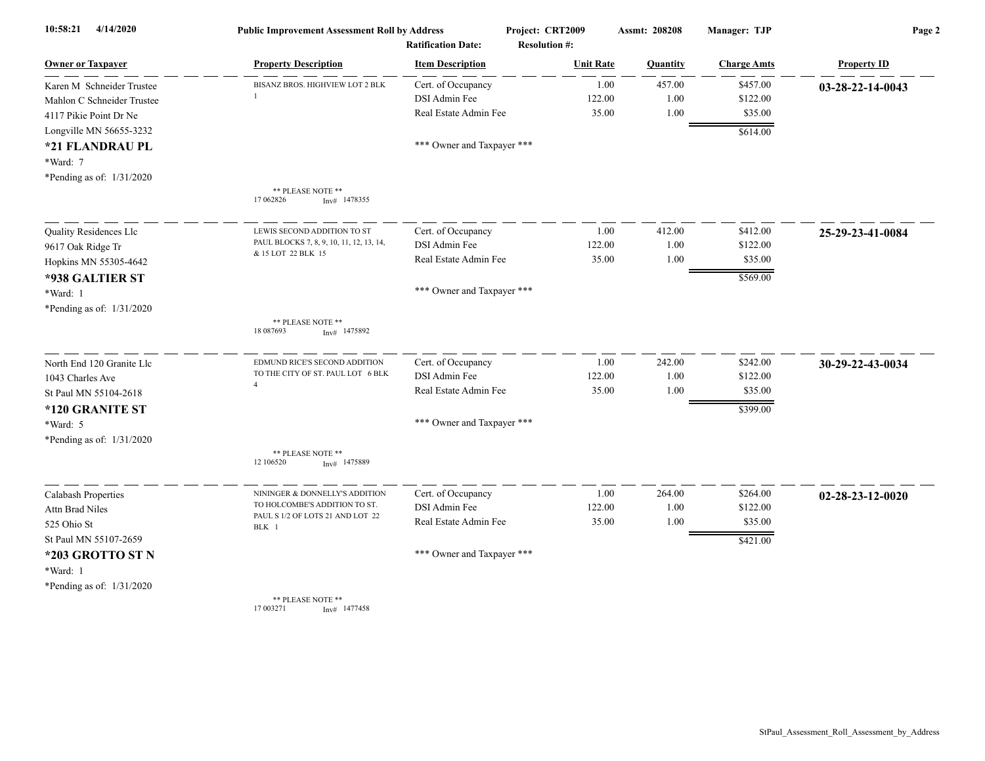| 4/14/2020<br>10:58:21      | <b>Public Improvement Assessment Roll by Address</b><br><b>Ratification Date:</b> |                            | Project: CRT2009<br><b>Resolution #:</b> | <b>Assmt: 208208</b> | Manager: TJP       | Page 2                     |
|----------------------------|-----------------------------------------------------------------------------------|----------------------------|------------------------------------------|----------------------|--------------------|----------------------------|
| <b>Owner or Taxpayer</b>   | <b>Property Description</b>                                                       | <b>Item Description</b>    | <b>Unit Rate</b>                         | Quantity             | <b>Charge Amts</b> | <b>Property ID</b>         |
| Karen M Schneider Trustee  | BISANZ BROS. HIGHVIEW LOT 2 BLK                                                   | Cert. of Occupancy         | 1.00                                     | 457.00               | \$457.00           | 03-28-22-14-0043           |
| Mahlon C Schneider Trustee |                                                                                   | DSI Admin Fee              | 122.00                                   | 1.00                 | \$122.00           |                            |
| 4117 Pikie Point Dr Ne     |                                                                                   | Real Estate Admin Fee      | 35.00                                    | 1.00                 | \$35.00            |                            |
| Longville MN 56655-3232    |                                                                                   |                            |                                          |                      | \$614.00           |                            |
| *21 FLANDRAU PL            |                                                                                   | *** Owner and Taxpayer *** |                                          |                      |                    |                            |
| *Ward: 7                   |                                                                                   |                            |                                          |                      |                    |                            |
| *Pending as of: 1/31/2020  |                                                                                   |                            |                                          |                      |                    |                            |
|                            | ** PLEASE NOTE **<br>17 062826<br>$Inv#$ 1478355                                  |                            |                                          |                      |                    |                            |
| Quality Residences Llc     | LEWIS SECOND ADDITION TO ST                                                       | Cert. of Occupancy         | 1.00                                     | 412.00               | \$412.00           | 25-29-23-41-0084           |
| 9617 Oak Ridge Tr          | PAUL BLOCKS 7, 8, 9, 10, 11, 12, 13, 14,                                          | DSI Admin Fee              | 122.00                                   | 1.00                 | \$122.00           |                            |
| Hopkins MN 55305-4642      | & 15 LOT 22 BLK 15                                                                | Real Estate Admin Fee      | 35.00                                    | 1.00                 | \$35.00            |                            |
| *938 GALTIER ST            |                                                                                   |                            |                                          |                      | \$569.00           |                            |
| *Ward: 1                   |                                                                                   | *** Owner and Taxpayer *** |                                          |                      |                    |                            |
| *Pending as of: 1/31/2020  |                                                                                   |                            |                                          |                      |                    |                            |
|                            | ** PLEASE NOTE **<br>18 08 7693<br>$Inv#$ 1475892                                 |                            |                                          |                      |                    |                            |
| North End 120 Granite Llc  | EDMUND RICE'S SECOND ADDITION                                                     | Cert. of Occupancy         | 1.00                                     | 242.00               | \$242.00           | 30-29-22-43-0034           |
| 1043 Charles Ave           | TO THE CITY OF ST. PAUL LOT 6 BLK                                                 | <b>DSI</b> Admin Fee       | 122.00                                   | 1.00                 | \$122.00           |                            |
| St Paul MN 55104-2618      | $\overline{4}$                                                                    | Real Estate Admin Fee      | 35.00                                    | 1.00                 | \$35.00            |                            |
| *120 GRANITE ST            |                                                                                   |                            |                                          |                      | \$399.00           |                            |
| *Ward: 5                   |                                                                                   | *** Owner and Taxpayer *** |                                          |                      |                    |                            |
| *Pending as of: 1/31/2020  |                                                                                   |                            |                                          |                      |                    |                            |
|                            | ** PLEASE NOTE **<br>12 10 6520<br>$Inv#$ 1475889                                 |                            |                                          |                      |                    |                            |
| Calabash Properties        | NININGER & DONNELLY'S ADDITION                                                    | Cert. of Occupancy         | 1.00                                     | 264.00               | \$264.00           | $02 - 28 - 23 - 12 - 0020$ |
| Attn Brad Niles            | TO HOLCOMBE'S ADDITION TO ST.                                                     | DSI Admin Fee              | 122.00                                   | 1.00                 | \$122.00           |                            |
| 525 Ohio St                | PAUL S 1/2 OF LOTS 21 AND LOT 22<br>BLK 1                                         | Real Estate Admin Fee      | 35.00                                    | 1.00                 | \$35.00            |                            |
| St Paul MN 55107-2659      |                                                                                   |                            |                                          |                      | \$421.00           |                            |
| *203 GROTTO ST N           |                                                                                   | *** Owner and Taxpayer *** |                                          |                      |                    |                            |
| *Ward: 1                   |                                                                                   |                            |                                          |                      |                    |                            |
| *Pending as of: 1/31/2020  |                                                                                   |                            |                                          |                      |                    |                            |
|                            | ** PLEASE NOTE **                                                                 |                            |                                          |                      |                    |                            |

17 003271 Inv# 1477458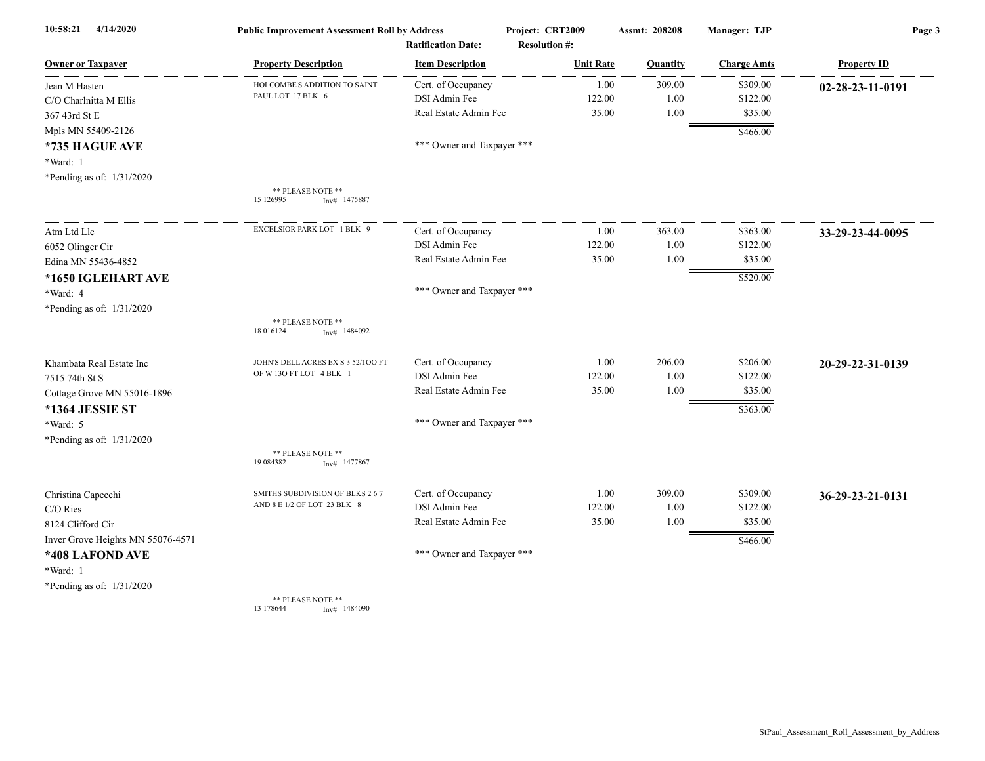| 4/14/2020<br>10:58:21             | <b>Public Improvement Assessment Roll by Address</b> |                                                      | Project: CRT2009                         | <b>Assmt: 208208</b> | Manager: TJP       | Page 3             |
|-----------------------------------|------------------------------------------------------|------------------------------------------------------|------------------------------------------|----------------------|--------------------|--------------------|
| <b>Owner or Taxpayer</b>          | <b>Property Description</b>                          | <b>Ratification Date:</b><br><b>Item Description</b> | <b>Resolution #:</b><br><b>Unit Rate</b> | Quantity             | <b>Charge Amts</b> | <b>Property ID</b> |
| Jean M Hasten                     | HOLCOMBE'S ADDITION TO SAINT                         | Cert. of Occupancy                                   | 1.00                                     | 309.00               | \$309.00           | 02-28-23-11-0191   |
| C/O Charlnitta M Ellis            | PAUL LOT 17 BLK 6                                    | DSI Admin Fee                                        | 122.00                                   | 1.00                 | \$122.00           |                    |
| 367 43rd St E                     |                                                      | Real Estate Admin Fee                                | 35.00                                    | 1.00                 | \$35.00            |                    |
| Mpls MN 55409-2126                |                                                      |                                                      |                                          |                      | \$466.00           |                    |
| *735 HAGUE AVE                    |                                                      | *** Owner and Taxpayer ***                           |                                          |                      |                    |                    |
| *Ward: 1                          |                                                      |                                                      |                                          |                      |                    |                    |
| *Pending as of: 1/31/2020         |                                                      |                                                      |                                          |                      |                    |                    |
|                                   | ** PLEASE NOTE **<br>15 126995<br>1475887<br>Inv#    |                                                      |                                          |                      |                    |                    |
| Atm Ltd Llc                       | EXCELSIOR PARK LOT 1 BLK 9                           | Cert. of Occupancy                                   | 1.00                                     | 363.00               | \$363.00           | 33-29-23-44-0095   |
| 6052 Olinger Cir                  |                                                      | DSI Admin Fee                                        | 122.00                                   | 1.00                 | \$122.00           |                    |
| Edina MN 55436-4852               |                                                      | Real Estate Admin Fee                                | 35.00                                    | 1.00                 | \$35.00            |                    |
| *1650 IGLEHART AVE                |                                                      |                                                      |                                          |                      | \$520.00           |                    |
| *Ward: 4                          |                                                      | *** Owner and Taxpayer ***                           |                                          |                      |                    |                    |
| *Pending as of: 1/31/2020         |                                                      |                                                      |                                          |                      |                    |                    |
|                                   | ** PLEASE NOTE **<br>18 016124<br>$Inv#$ 1484092     |                                                      |                                          |                      |                    |                    |
| Khambata Real Estate Inc          | JOHN'S DELL ACRES EX S 3 52/100 FT                   | Cert. of Occupancy                                   | 1.00                                     | 206.00               | \$206.00           | 20-29-22-31-0139   |
| 7515 74th St S                    | OF W13O FT LOT 4 BLK 1                               | DSI Admin Fee                                        | 122.00                                   | 1.00                 | \$122.00           |                    |
| Cottage Grove MN 55016-1896       |                                                      | Real Estate Admin Fee                                | 35.00                                    | 1.00                 | \$35.00            |                    |
| *1364 JESSIE ST                   |                                                      |                                                      |                                          |                      | \$363.00           |                    |
| *Ward: 5                          |                                                      | *** Owner and Taxpayer ***                           |                                          |                      |                    |                    |
| *Pending as of: 1/31/2020         |                                                      |                                                      |                                          |                      |                    |                    |
|                                   | ** PLEASE NOTE **<br>19 084382<br>$Inv#$ 1477867     |                                                      |                                          |                      |                    |                    |
| Christina Capecchi                | SMITHS SUBDIVISION OF BLKS 267                       | Cert. of Occupancy                                   | 1.00                                     | 309.00               | \$309.00           | 36-29-23-21-0131   |
| C/O Ries                          | AND 8 E 1/2 OF LOT 23 BLK 8                          | DSI Admin Fee                                        | 122.00                                   | 1.00                 | \$122.00           |                    |
| 8124 Clifford Cir                 |                                                      | Real Estate Admin Fee                                | 35.00                                    | 1.00                 | \$35.00            |                    |
| Inver Grove Heights MN 55076-4571 |                                                      |                                                      |                                          |                      | \$466.00           |                    |
| *408 LAFOND AVE                   |                                                      | *** Owner and Taxpayer ***                           |                                          |                      |                    |                    |
| *Ward: 1                          |                                                      |                                                      |                                          |                      |                    |                    |
| *Pending as of: $1/31/2020$       |                                                      |                                                      |                                          |                      |                    |                    |
|                                   | ** PLEASE NOTE **<br>13 178 644<br>Inv# 1484090      |                                                      |                                          |                      |                    |                    |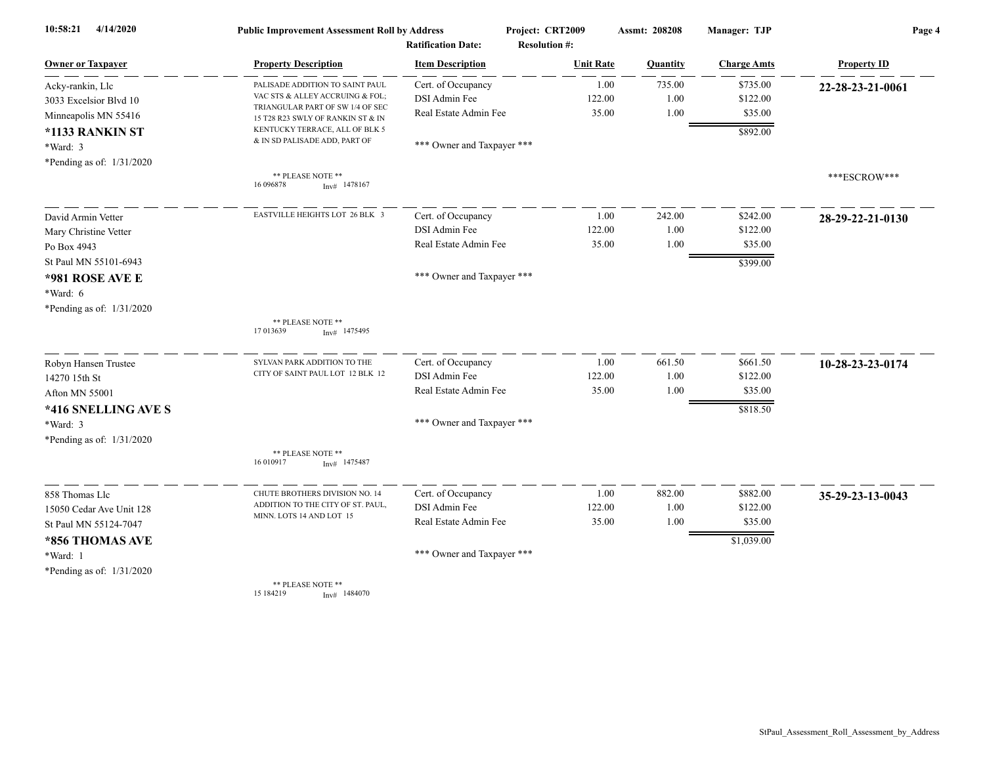| 10:58:21<br>4/14/2020       | <b>Public Improvement Assessment Roll by Address</b><br><b>Ratification Date:</b> |                            | Project: CRT2009     | Assmt: 208208 | Manager: TJP       | Page 4             |
|-----------------------------|-----------------------------------------------------------------------------------|----------------------------|----------------------|---------------|--------------------|--------------------|
|                             |                                                                                   |                            | <b>Resolution #:</b> |               |                    |                    |
| <b>Owner or Taxpayer</b>    | <b>Property Description</b>                                                       | <b>Item Description</b>    | <b>Unit Rate</b>     | Quantity      | <b>Charge Amts</b> | <b>Property ID</b> |
| Acky-rankin, Llc            | PALISADE ADDITION TO SAINT PAUL                                                   | Cert. of Occupancy         | 1.00                 | 735.00        | \$735.00           | 22-28-23-21-0061   |
| 3033 Excelsior Blvd 10      | VAC STS & ALLEY ACCRUING & FOL;<br>TRIANGULAR PART OF SW 1/4 OF SEC               | DSI Admin Fee              | 122.00               | 1.00          | \$122.00           |                    |
| Minneapolis MN 55416        | 15 T28 R23 SWLY OF RANKIN ST & IN                                                 | Real Estate Admin Fee      | 35.00                | 1.00          | \$35.00            |                    |
| *1133 RANKIN ST             | KENTUCKY TERRACE, ALL OF BLK 5                                                    |                            |                      |               | \$892.00           |                    |
| $*Ward: 3$                  | & IN SD PALISADE ADD, PART OF                                                     | *** Owner and Taxpayer *** |                      |               |                    |                    |
| *Pending as of: $1/31/2020$ |                                                                                   |                            |                      |               |                    |                    |
|                             | ** PLEASE NOTE **<br>16 09 6878<br>Inv# 1478167                                   |                            |                      |               |                    | ***ESCROW***       |
| David Armin Vetter          | EASTVILLE HEIGHTS LOT 26 BLK 3                                                    | Cert. of Occupancy         | 1.00                 | 242.00        | \$242.00           | 28-29-22-21-0130   |
| Mary Christine Vetter       |                                                                                   | DSI Admin Fee              | 122.00               | 1.00          | \$122.00           |                    |
| Po Box 4943                 |                                                                                   | Real Estate Admin Fee      | 35.00                | 1.00          | \$35.00            |                    |
| St Paul MN 55101-6943       |                                                                                   |                            |                      |               | \$399.00           |                    |
| *981 ROSE AVE E             |                                                                                   | *** Owner and Taxpayer *** |                      |               |                    |                    |
| *Ward: 6                    |                                                                                   |                            |                      |               |                    |                    |
| *Pending as of: $1/31/2020$ |                                                                                   |                            |                      |               |                    |                    |
|                             | ** PLEASE NOTE **                                                                 |                            |                      |               |                    |                    |
|                             | 17 013639<br>$Inv#$ 1475495                                                       |                            |                      |               |                    |                    |
| Robyn Hansen Trustee        | SYLVAN PARK ADDITION TO THE                                                       | Cert. of Occupancy         | 1.00                 | 661.50        | \$661.50           | 10-28-23-23-0174   |
| 14270 15th St               | CITY OF SAINT PAUL LOT 12 BLK 12                                                  | DSI Admin Fee              | 122.00               | 1.00          | \$122.00           |                    |
| Afton MN 55001              |                                                                                   | Real Estate Admin Fee      | 35.00                | 1.00          | \$35.00            |                    |
| *416 SNELLING AVE S         |                                                                                   |                            |                      |               | \$818.50           |                    |
| *Ward: 3                    |                                                                                   | *** Owner and Taxpayer *** |                      |               |                    |                    |
| *Pending as of: 1/31/2020   |                                                                                   |                            |                      |               |                    |                    |
|                             | ** PLEASE NOTE **<br>16 010917<br>$Inv#$ 1475487                                  |                            |                      |               |                    |                    |
| 858 Thomas Llc              | CHUTE BROTHERS DIVISION NO. 14                                                    | Cert. of Occupancy         | 1.00                 | 882.00        | \$882.00           | 35-29-23-13-0043   |
| 15050 Cedar Ave Unit 128    | ADDITION TO THE CITY OF ST. PAUL,                                                 | DSI Admin Fee              | 122.00               | 1.00          | \$122.00           |                    |
| St Paul MN 55124-7047       | MINN. LOTS 14 AND LOT 15                                                          | Real Estate Admin Fee      | 35.00                | 1.00          | \$35.00            |                    |
| *856 THOMAS AVE             |                                                                                   |                            |                      |               | \$1,039.00         |                    |
| *Ward: 1                    |                                                                                   | *** Owner and Taxpayer *** |                      |               |                    |                    |
| *Pending as of: 1/31/2020   |                                                                                   |                            |                      |               |                    |                    |
|                             | ** PLEASE NOTE **<br>15 184219<br>Inv# 1484070                                    |                            |                      |               |                    |                    |